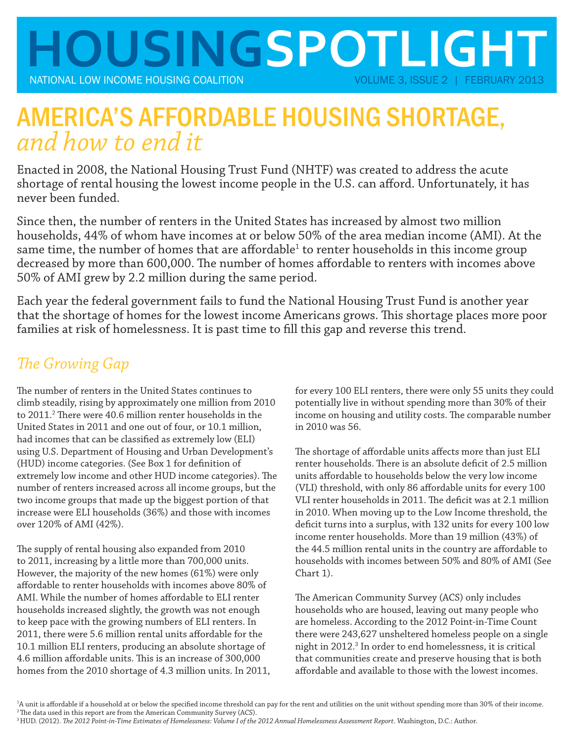

# AMERICA'S AFFORDABLE HOUSING SHORTAGE, *and how to end it*

Enacted in 2008, the National Housing Trust Fund (NHTF) was created to address the acute shortage of rental housing the lowest income people in the U.S. can afford. Unfortunately, it has never been funded.

Since then, the number of renters in the United States has increased by almost two million households, 44% of whom have incomes at or below 50% of the area median income (AMI). At the same time, the number of homes that are affordable $^{\rm 1}$  to renter households in this income group decreased by more than 600,000. The number of homes affordable to renters with incomes above 50% of AMI grew by 2.2 million during the same period.

Each year the federal government fails to fund the National Housing Trust Fund is another year that the shortage of homes for the lowest income Americans grows. This shortage places more poor families at risk of homelessness. It is past time to fill this gap and reverse this trend.

# **The Growing Gap**

The number of renters in the United States continues to climb steadily, rising by approximately one million from 2010 to 2011.<sup>2</sup> There were 40.6 million renter households in the United States in 2011 and one out of four, or 10.1 million, had incomes that can be classified as extremely low (ELI) using U.S. Department of Housing and Urban Development's (HUD) income categories. (See Box 1 for definition of extremely low income and other HUD income categories). The number of renters increased across all income groups, but the two income groups that made up the biggest portion of that increase were ELI households (36%) and those with incomes over 120% of AMI (42%).

The supply of rental housing also expanded from 2010 to 2011, increasing by a little more than 700,000 units. However, the majority of the new homes (61%) were only aff ordable to renter households with incomes above 80% of AMI. While the number of homes affordable to ELI renter households increased slightly, the growth was not enough to keep pace with the growing numbers of ELI renters. In 2011, there were 5.6 million rental units affordable for the 10.1 million ELI renters, producing an absolute shortage of 4.6 million affordable units. This is an increase of 300,000 homes from the 2010 shortage of 4.3 million units. In 2011, for every 100 ELI renters, there were only 55 units they could potentially live in without spending more than 30% of their income on housing and utility costs. The comparable number in 2010 was 56.

The shortage of affordable units affects more than just ELI renter households. There is an absolute deficit of 2.5 million units affordable to households below the very low income (VLI) threshold, with only 86 affordable units for every 100 VLI renter households in 2011. The deficit was at 2.1 million in 2010. When moving up to the Low Income threshold, the deficit turns into a surplus, with 132 units for every 100 low income renter households. More than 19 million (43%) of the 44.5 million rental units in the country are affordable to households with incomes between 50% and 80% of AMI (See Chart 1).

The American Community Survey (ACS) only includes households who are housed, leaving out many people who are homeless. According to the 2012 Point-in-Time Count there were 243,627 unsheltered homeless people on a single night in 2012.<sup>3</sup> In order to end homelessness, it is critical that communities create and preserve housing that is both affordable and available to those with the lowest incomes.

<sup>1</sup>A unit is affordable if a household at or below the specified income threshold can pay for the rent and utilities on the unit without spending more than 30% of their income. <sup>2</sup> The data used in this report are from the American Community Survey (ACS).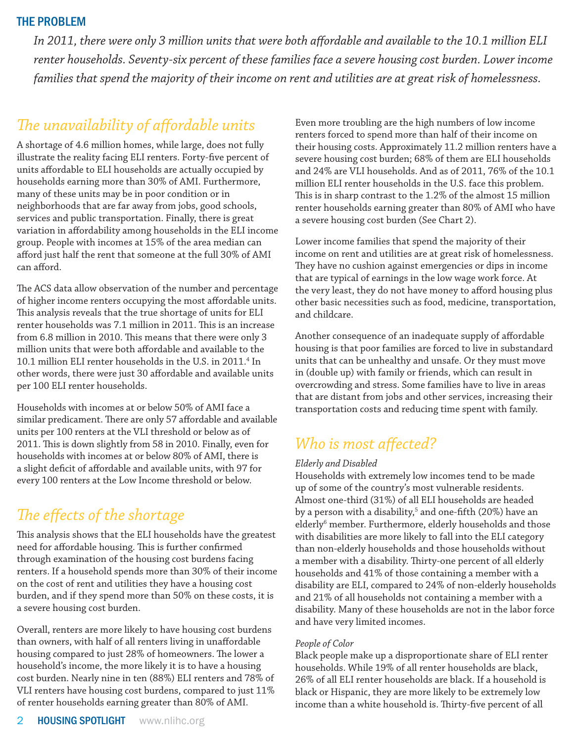### THE PROBLEM

In 2011, there were only 3 million units that were both affordable and available to the 10.1 million ELI *renter households. Seventy-six percent of these families face a severe housing cost burden. Lower income families that spend the majority of their income on rent and utilities are at great risk of homelessness.* 

## **The unavailability of affordable units**

A shortage of 4.6 million homes, while large, does not fully illustrate the reality facing ELI renters. Forty-five percent of units affordable to ELI households are actually occupied by households earning more than 30% of AMI. Furthermore, many of these units may be in poor condition or in neighborhoods that are far away from jobs, good schools, services and public transportation. Finally, there is great variation in affordability among households in the ELI income group. People with incomes at 15% of the area median can afford just half the rent that someone at the full 30% of AMI can afford.

The ACS data allow observation of the number and percentage of higher income renters occupying the most affordable units. This analysis reveals that the true shortage of units for ELI renter households was 7.1 million in 2011. This is an increase from 6.8 million in 2010. This means that there were only 3 million units that were both affordable and available to the 10.1 million ELI renter households in the U.S. in 2011.4 In other words, there were just 30 affordable and available units per 100 ELI renter households.

Households with incomes at or below 50% of AMI face a similar predicament. There are only 57 affordable and available units per 100 renters at the VLI threshold or below as of 2011. This is down slightly from 58 in 2010. Finally, even for households with incomes at or below 80% of AMI, there is a slight deficit of affordable and available units, with 97 for every 100 renters at the Low Income threshold or below.

# **The effects of the shortage**

This analysis shows that the ELI households have the greatest need for affordable housing. This is further confirmed through examination of the housing cost burdens facing renters. If a household spends more than 30% of their income on the cost of rent and utilities they have a housing cost burden, and if they spend more than 50% on these costs, it is a severe housing cost burden.

Overall, renters are more likely to have housing cost burdens than owners, with half of all renters living in unaffordable housing compared to just 28% of homeowners. The lower a household's income, the more likely it is to have a housing cost burden. Nearly nine in ten (88%) ELI renters and 78% of VLI renters have housing cost burdens, compared to just 11% of renter households earning greater than 80% of AMI.

Even more troubling are the high numbers of low income renters forced to spend more than half of their income on their housing costs. Approximately 11.2 million renters have a severe housing cost burden; 68% of them are ELI households and 24% are VLI households. And as of 2011, 76% of the 10.1 million ELI renter households in the U.S. face this problem. This is in sharp contrast to the 1.2% of the almost 15 million renter households earning greater than 80% of AMI who have a severe housing cost burden (See Chart 2).

Lower income families that spend the majority of their income on rent and utilities are at great risk of homelessness. They have no cushion against emergencies or dips in income that are typical of earnings in the low wage work force. At the very least, they do not have money to afford housing plus other basic necessities such as food, medicine, transportation, and childcare.

Another consequence of an inadequate supply of affordable housing is that poor families are forced to live in substandard units that can be unhealthy and unsafe. Or they must move in (double up) with family or friends, which can result in overcrowding and stress. Some families have to live in areas that are distant from jobs and other services, increasing their transportation costs and reducing time spent with family.

# *Who is most affected?*

### *Elderly and Disabled*

Households with extremely low incomes tend to be made up of some of the country's most vulnerable residents. Almost one-third (31%) of all ELI households are headed by a person with a disability, $^5$  and one-fifth (20%) have an elderly<sup>6</sup> member. Furthermore, elderly households and those with disabilities are more likely to fall into the ELI category than non-elderly households and those households without a member with a disability. Thirty-one percent of all elderly households and 41% of those containing a member with a disability are ELI, compared to 24% of non-elderly households and 21% of all households not containing a member with a disability. Many of these households are not in the labor force and have very limited incomes.

### *People of Color*

Black people make up a disproportionate share of ELI renter households. While 19% of all renter households are black, 26% of all ELI renter households are black. If a household is black or Hispanic, they are more likely to be extremely low income than a white household is. Thirty-five percent of all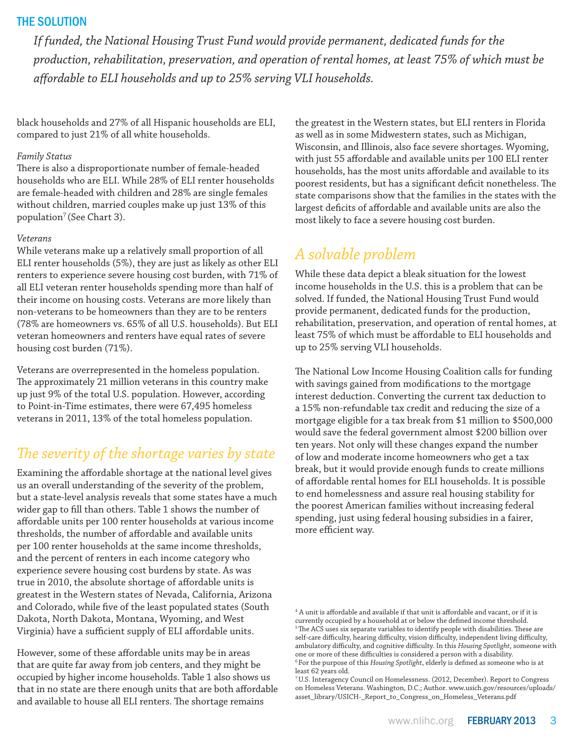### THE SOLUTION

*If funded, the National Housing Trust Fund would provide permanent, dedicated funds for the production, rehabilitation, preservation, and operation of rental homes, at least 75% of which must be aff ordable to ELI households and up to 25% serving VLI households.* 

black households and 27% of all Hispanic households are ELI, compared to just 21% of all white households.

### *Family Status*

There is also a disproportionate number of female-headed households who are ELI. While 28% of ELI renter households are female-headed with children and 28% are single females without children, married couples make up just 13% of this population<sup>7</sup> (See Chart 3).

#### *Veterans*

While veterans make up a relatively small proportion of all ELI renter households (5%), they are just as likely as other ELI renters to experience severe housing cost burden, with 71% of all ELI veteran renter households spending more than half of their income on housing costs. Veterans are more likely than non-veterans to be homeowners than they are to be renters (78% are homeowners vs. 65% of all U.S. households). But ELI veteran homeowners and renters have equal rates of severe housing cost burden (71%).

Veterans are overrepresented in the homeless population. The approximately 21 million veterans in this country make up just 9% of the total U.S. population. However, according to Point-in-Time estimates, there were 67,495 homeless veterans in 2011, 13% of the total homeless population.

### The severity of the shortage varies by state

Examining the affordable shortage at the national level gives us an overall understanding of the severity of the problem, but a state-level analysis reveals that some states have a much wider gap to fill than others. Table 1 shows the number of aff ordable units per 100 renter households at various income thresholds, the number of affordable and available units per 100 renter households at the same income thresholds, and the percent of renters in each income category who experience severe housing cost burdens by state. As was true in 2010, the absolute shortage of affordable units is greatest in the Western states of Nevada, California, Arizona and Colorado, while five of the least populated states (South Dakota, North Dakota, Montana, Wyoming, and West Virginia) have a sufficient supply of ELI affordable units.

However, some of these affordable units may be in areas that are quite far away from job centers, and they might be occupied by higher income households. Table 1 also shows us that in no state are there enough units that are both affordable and available to house all ELI renters. The shortage remains

the greatest in the Western states, but ELI renters in Florida as well as in some Midwestern states, such as Michigan, Wisconsin, and Illinois, also face severe shortages. Wyoming, with just 55 affordable and available units per 100 ELI renter households, has the most units affordable and available to its poorest residents, but has a significant deficit nonetheless. The state comparisons show that the families in the states with the largest deficits of affordable and available units are also the most likely to face a severe housing cost burden.

# *A solvable problem*

While these data depict a bleak situation for the lowest income households in the U.S. this is a problem that can be solved. If funded, the National Housing Trust Fund would provide permanent, dedicated funds for the production, rehabilitation, preservation, and operation of rental homes, at least 75% of which must be affordable to ELI households and up to 25% serving VLI households.

The National Low Income Housing Coalition calls for funding with savings gained from modifications to the mortgage interest deduction. Converting the current tax deduction to a 15% non-refundable tax credit and reducing the size of a mortgage eligible for a tax break from \$1 million to \$500,000 would save the federal government almost \$200 billion over ten years. Not only will these changes expand the number of low and moderate income homeowners who get a tax break, but it would provide enough funds to create millions of affordable rental homes for ELI households. It is possible to end homelessness and assure real housing stability for the poorest American families without increasing federal spending, just using federal housing subsidies in a fairer, more efficient way.

 $^4$  A unit is affordable and available if that unit is affordable and vacant, or if it is currently occupied by a household at or below the defined income threshold.  $5$ The ACS uses six separate variables to identify people with disabilities. These are self-care difficulty, hearing difficulty, vision difficulty, independent living difficulty, ambulatory difficulty, and cognitive difficulty. In this *Housing Spotlight*, someone with one or more of these difficulties is considered a person with a disability. <sup>6</sup> For the purpose of this *Housing Spotlight*, elderly is defined as someone who is at least 62 years old.

<sup>7</sup> U.S. Interagency Council on Homelessness. (2012, December). Report to Congress on Homeless Veterans. Washington, D.C.; Author. www.usich.gov/resources/uploads/ asset\_library/USICH-\_Report\_to\_Congress\_on\_Homeless\_Veterans.pdf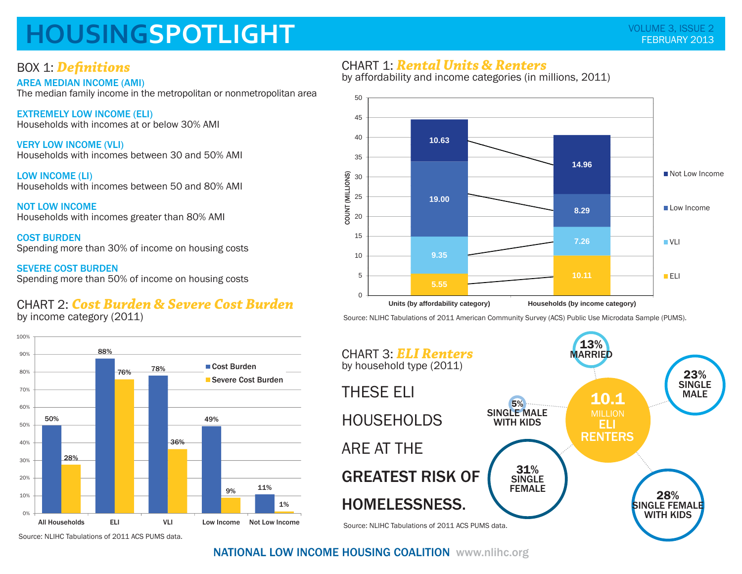# **HOUSINGSPOTLIGHT**

### BOX 1: **Definitions**

AREA MEDIAN INCOME (AMI)

The median family income in the metropolitan or nonmetropolitan area

EXTREMELY LOW INCOME (ELI) Households with incomes at or below 30% AMI

VERY LOW INCOME (VLI) Households with incomes between 30 and 50% AMI

LOW INCOME (LI) Households with incomes between 50 and 80% AMI

NOT LOW INCOMEHouseholds with incomes greater than 80% AMI

COST BURDENSpending more than 30% of income on housing costs

SEVERE COST BURDENSpending more than 50% of income on housing costs

## CHART 2: *Cost Burden & Severe Cost Burden*

by income category (2011)



### CHART 1: *Rental Units & Renters*

by affordability and income categories (in millions, 2011)



Source: NLIHC Tabulations of 2011 American Community Survey (ACS) Public Use Microdata Sample (PUMS).



#### Source: NLIHC Tabulations of 2011 ACS PUMS data.

### NATIONAL LOW INCOME HOUSING COALITION www.nlihc.org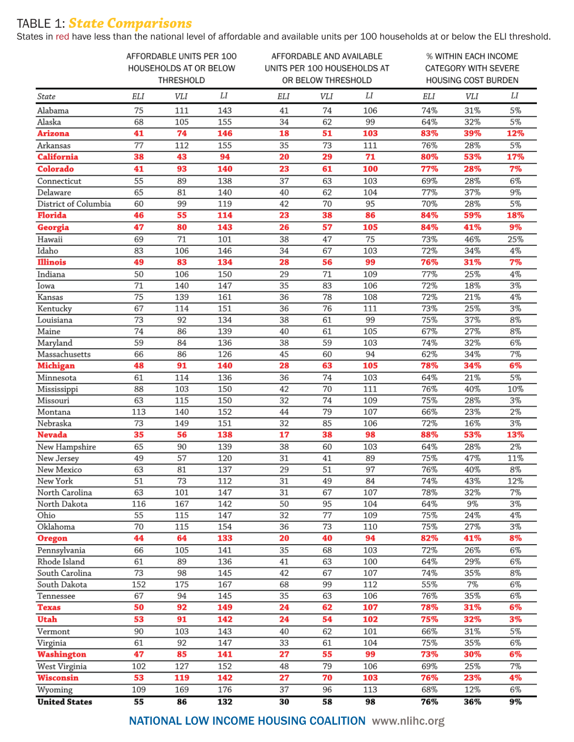## TABLE 1: *State Comparisons*

States in red have less than the national level of affordable and available units per 100 households at or below the ELI threshold.

|                            | AFFORDABLE UNITS PER 100<br>HOUSEHOLDS AT OR BELOW<br>THRESHOLD |          |            | AFFORDABLE AND AVAILABLE<br>UNITS PER 100 HOUSEHOLDS AT<br>OR BELOW THRESHOLD |          |           | % WITHIN EACH INCOME<br>CATEGORY WITH SEVERE<br><b>HOUSING COST BURDEN</b> |            |              |
|----------------------------|-----------------------------------------------------------------|----------|------------|-------------------------------------------------------------------------------|----------|-----------|----------------------------------------------------------------------------|------------|--------------|
| State                      | ELI                                                             | VLI      | LI         | ELI                                                                           | VLI      | LI        | ELI                                                                        | VLI        | LI           |
| Alabama                    | 75                                                              | 111      | 143        | 41                                                                            | 74       | 106       | 74%                                                                        | 31%        | 5%           |
| Alaska                     | 68                                                              | 105      | 155        | 34                                                                            | 62       | 99        | 64%                                                                        | 32%        | 5%           |
| Arizona                    | 41                                                              | 74       | 146        | 18                                                                            | 51       | 103       | 83%                                                                        | 39%        | 12%          |
| Arkansas                   | 77                                                              | 112      | 155        | 35                                                                            | 73       | 111       | 76%                                                                        | 28%        | 5%           |
| <b>California</b>          | 38                                                              | 43       | 94         | 20                                                                            | 29       | 71        | 80%                                                                        | 53%        | 17%          |
| Colorado                   | 41                                                              | 93       | 140        | 23                                                                            | 61       | 100       | 77%                                                                        | 28%        | 7%           |
| Connecticut                | 55                                                              | 89       | 138        | 37                                                                            | 63       | 103       | 69%                                                                        | 28%        | 6%           |
| Delaware                   | 65                                                              | 81       | 140        | 40                                                                            | 62       | 104       | 77%                                                                        | 37%        | 9%           |
| District of Columbia       | 60                                                              | 99       | 119        | 42                                                                            | 70       | 95        | 70%                                                                        | 28%        | 5%           |
| <b>Florida</b>             | 46                                                              | 55       | 114        | 23                                                                            | 38       | 86        | 84%                                                                        | 59%        | 18%          |
| Georgia                    | 47                                                              | 80       | 143        | 26                                                                            | 57       | 105       | 84%                                                                        | 41%        | 9%           |
| Hawaii                     | 69                                                              | 71       | 101        | 38                                                                            | 47       | 75        | 73%                                                                        | 46%        | 25%          |
| Idaho                      | 83                                                              | 106      | 146        | 34                                                                            | 67       | 103       | 72%                                                                        | 34%        | 4%           |
| <b>Illinois</b>            | 49                                                              | 83       | 134        | 28                                                                            | 56       | 99        | 76%                                                                        | 31%        | 7%           |
| Indiana                    | 50                                                              | 106      | 150        | 29                                                                            | 71       | 109       | 77%                                                                        | 25%        | $4\%$        |
| Iowa                       | 71                                                              | 140      | 147        | 35                                                                            | 83       | 106       | 72%                                                                        | 18%        | 3%           |
| Kansas                     | $\overline{75}$                                                 | 139      | 161        | 36                                                                            | 78       | 108       | 72%                                                                        | 21%        | 4%           |
| Kentucky                   | 67                                                              | 114      | 151        | 36                                                                            | 76       | 111       | 73%                                                                        | 25%        | 3%           |
| Louisiana                  | 73                                                              | 92       | 134        | 38                                                                            | 61       | 99        | 75%                                                                        | 37%        | 8%           |
| Maine                      | 74                                                              | 86       | 139        | 40                                                                            | 61       | 105       | 67%                                                                        | 27%        | 8%           |
| Maryland                   | 59                                                              | 84       | 136        | 38                                                                            | 59       | 103       | 74%                                                                        | 32%        | 6%           |
| Massachusetts              | 66                                                              | 86       | 126        | 45                                                                            | 60       | 94        | 62%                                                                        | 34%        | 7%           |
| <b>Michigan</b>            | 48                                                              | 91       | 140        | 28                                                                            | 63       | 105       | 78%                                                                        | 34%        | 6%           |
| Minnesota                  | 61                                                              | 114      | 136        | 36                                                                            | 74       | 103       | 64%                                                                        | 21%        | 5%           |
| Mississippi                | 88                                                              | 103      | 150        | 42                                                                            | 70       | 111       | 76%                                                                        | 40%        | 10%          |
| Missouri                   | 63                                                              | 115      | 150        | 32                                                                            | 74       | 109       | 75%                                                                        | 28%        | 3%           |
| Montana                    | 113                                                             | 140      | 152        | 44                                                                            | 79       | 107       | 66%                                                                        | 23%        | 2%           |
| Nebraska                   | 73                                                              | 149      | 151        | 32                                                                            | 85       | 106       | 72%                                                                        | 16%        | 3%           |
| <b>Nevada</b>              | 35                                                              | 56       | 138        | 17                                                                            | 38       | 98        | 88%                                                                        | 53%        | 13%          |
| New Hampshire              | 65                                                              | 90       | 139        | 38                                                                            | 60       | 103       | 64%                                                                        | 28%        | 2%           |
| New Jersey                 | 49                                                              | 57       | 120        | 31                                                                            | 41       | 89        | 75%                                                                        | 47%        | 11%          |
| New Mexico                 | 63<br>51                                                        | 81<br>73 | 137        | 29                                                                            | 51       | 97        | 76%                                                                        | 40%        | $8\%$<br>12% |
| New York<br>North Carolina | 63                                                              | 101      | 112<br>147 | 31<br>31                                                                      | 49<br>67 | 84<br>107 | 74%<br>78%                                                                 | 43%<br>32% | 7%           |
| North Dakota               | 116                                                             | 167      | 142        | 50                                                                            | 95       | 104       | 64%                                                                        | 9%         | 3%           |
| Ohio                       | 55                                                              | 115      | 147        | 32                                                                            | 77       | 109       | 75%                                                                        | 24%        | 4%           |
| Oklahoma                   | 70                                                              | 115      | 154        | 36                                                                            | 73       | 110       | 75%                                                                        | 27%        | $3\%$        |
| <b>Oregon</b>              | 44                                                              | 64       | 133        | 20                                                                            | 40       | 94        | 82%                                                                        | 41%        | 8%           |
| Pennsylvania               | 66                                                              | 105      | 141        | 35                                                                            | 68       | 103       | 72%                                                                        | 26%        | 6%           |
| Rhode Island               | 61                                                              | 89       | 136        | 41                                                                            | 63       | 100       | 64%                                                                        | 29%        | 6%           |
| South Carolina             | 73                                                              | 98       | 145        | 42                                                                            | 67       | 107       | 74%                                                                        | 35%        | 8%           |
| South Dakota               | 152                                                             | 175      | 167        | 68                                                                            | 99       | 112       | 55%                                                                        | 7%         | 6%           |
| Tennessee                  | 67                                                              | 94       | 145        | 35                                                                            | 63       | 106       | 76%                                                                        | 35%        | 6%           |
| <b>Texas</b>               | 50                                                              | 92       | 149        | 24                                                                            | 62       | 107       | 78%                                                                        | 31%        | 6%           |
| Utah                       | 53                                                              | 91       | 142        | 24                                                                            | 54       | 102       | 75%                                                                        | 32%        | 3%           |
| Vermont                    | 90                                                              | 103      | 143        | 40                                                                            | 62       | 101       | 66%                                                                        | 31%        | 5%           |
| Virginia                   | 61                                                              | 92       | 147        | 33                                                                            | 61       | 104       | 75%                                                                        | 35%        | 6%           |
| <b>Washington</b>          | 47                                                              | 85       | 141        | 27                                                                            | 55       | 99        | 73%                                                                        | 30%        | 6%           |
| West Virginia              | 102                                                             | 127      | 152        | 48                                                                            | 79       | 106       | 69%                                                                        | 25%        | 7%           |
| <b>Wisconsin</b>           | 53                                                              | 119      | 142        | 27                                                                            | 70       | 103       | 76%                                                                        | 23%        | 4%           |
| Wyoming                    | 109                                                             | 169      | 176        | 37                                                                            | 96       | 113       | 68%                                                                        | 12%        | 6%           |
| <b>United States</b>       | 55                                                              | 86       | 132        | 30                                                                            | 58       | 98        | 76%                                                                        | 36%        | $9\%$        |

NATIONAL LOW INCOME HOUSING COALITION www.nlihc.org